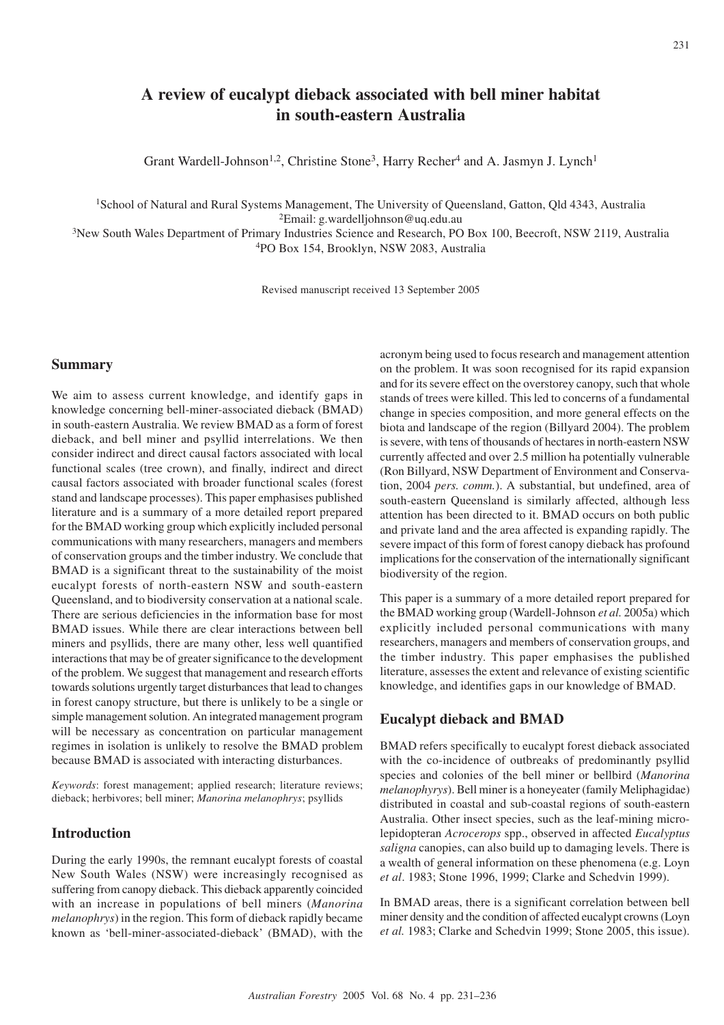# **A review of eucalypt dieback associated with bell miner habitat in south-eastern Australia**

Grant Wardell-Johnson<sup>1,2</sup>, Christine Stone<sup>3</sup>, Harry Recher<sup>4</sup> and A. Jasmyn J. Lynch<sup>1</sup>

<sup>1</sup>School of Natural and Rural Systems Management, The University of Queensland, Gatton, Qld 4343, Australia 2Email: g.wardelljohnson@uq.edu.au

3New South Wales Department of Primary Industries Science and Research, PO Box 100, Beecroft, NSW 2119, Australia 4PO Box 154, Brooklyn, NSW 2083, Australia

Revised manuscript received 13 September 2005

## **Summary**

We aim to assess current knowledge, and identify gaps in knowledge concerning bell-miner-associated dieback (BMAD) in south-eastern Australia. We review BMAD as a form of forest dieback, and bell miner and psyllid interrelations. We then consider indirect and direct causal factors associated with local functional scales (tree crown), and finally, indirect and direct causal factors associated with broader functional scales (forest stand and landscape processes). This paper emphasises published literature and is a summary of a more detailed report prepared for the BMAD working group which explicitly included personal communications with many researchers, managers and members of conservation groups and the timber industry. We conclude that BMAD is a significant threat to the sustainability of the moist eucalypt forests of north-eastern NSW and south-eastern Queensland, and to biodiversity conservation at a national scale. There are serious deficiencies in the information base for most BMAD issues. While there are clear interactions between bell miners and psyllids, there are many other, less well quantified interactions that may be of greater significance to the development of the problem. We suggest that management and research efforts towards solutions urgently target disturbances that lead to changes in forest canopy structure, but there is unlikely to be a single or simple management solution. An integrated management program will be necessary as concentration on particular management regimes in isolation is unlikely to resolve the BMAD problem because BMAD is associated with interacting disturbances.

*Keywords*: forest management; applied research; literature reviews; dieback; herbivores; bell miner; *Manorina melanophrys*; psyllids

# **Introduction**

During the early 1990s, the remnant eucalypt forests of coastal New South Wales (NSW) were increasingly recognised as suffering from canopy dieback. This dieback apparently coincided with an increase in populations of bell miners (*Manorina melanophrys*) in the region. This form of dieback rapidly became known as 'bell-miner-associated-dieback' (BMAD), with the acronym being used to focus research and management attention on the problem. It was soon recognised for its rapid expansion and for its severe effect on the overstorey canopy, such that whole stands of trees were killed. This led to concerns of a fundamental change in species composition, and more general effects on the biota and landscape of the region (Billyard 2004). The problem is severe, with tens of thousands of hectares in north-eastern NSW currently affected and over 2.5 million ha potentially vulnerable (Ron Billyard, NSW Department of Environment and Conservation, 2004 *pers. comm.*). A substantial, but undefined, area of south-eastern Queensland is similarly affected, although less attention has been directed to it. BMAD occurs on both public and private land and the area affected is expanding rapidly. The severe impact of this form of forest canopy dieback has profound implications for the conservation of the internationally significant biodiversity of the region.

This paper is a summary of a more detailed report prepared for the BMAD working group (Wardell-Johnson *et al.* 2005a) which explicitly included personal communications with many researchers, managers and members of conservation groups, and the timber industry. This paper emphasises the published literature, assesses the extent and relevance of existing scientific knowledge, and identifies gaps in our knowledge of BMAD.

## **Eucalypt dieback and BMAD**

BMAD refers specifically to eucalypt forest dieback associated with the co-incidence of outbreaks of predominantly psyllid species and colonies of the bell miner or bellbird (*Manorina melanophyrys*). Bell miner is a honeyeater (family Meliphagidae) distributed in coastal and sub-coastal regions of south-eastern Australia. Other insect species, such as the leaf-mining microlepidopteran *Acrocerops* spp., observed in affected *Eucalyptus saligna* canopies, can also build up to damaging levels. There is a wealth of general information on these phenomena (e.g. Loyn *et al*. 1983; Stone 1996, 1999; Clarke and Schedvin 1999).

In BMAD areas, there is a significant correlation between bell miner density and the condition of affected eucalypt crowns (Loyn *et al.* 1983; Clarke and Schedvin 1999; Stone 2005, this issue).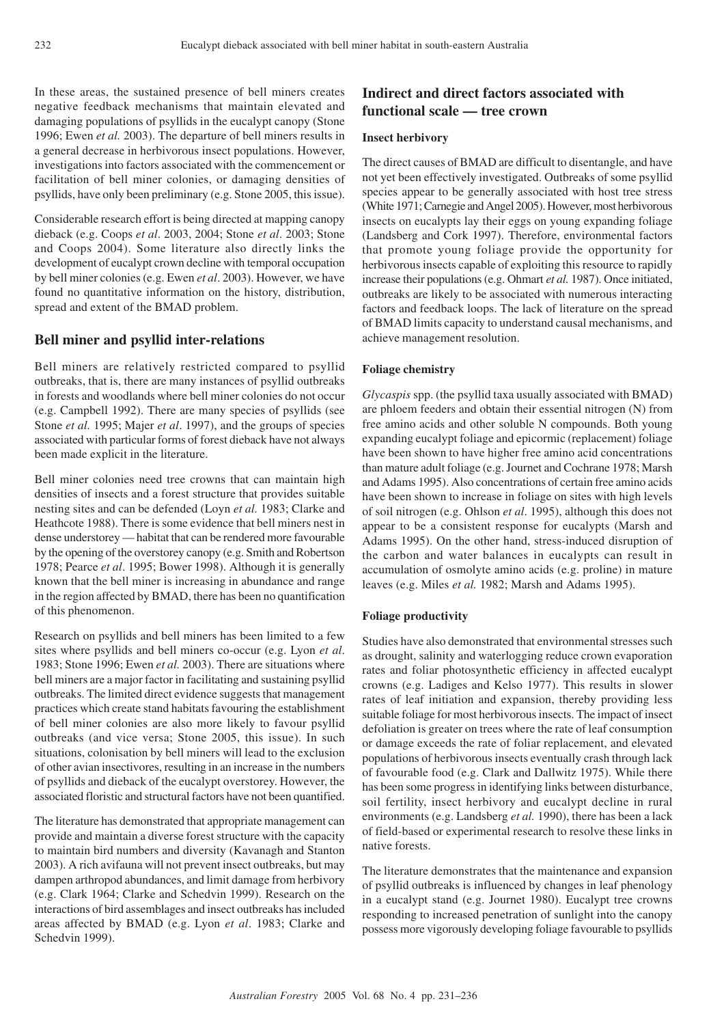In these areas, the sustained presence of bell miners creates negative feedback mechanisms that maintain elevated and damaging populations of psyllids in the eucalypt canopy (Stone 1996; Ewen *et al.* 2003). The departure of bell miners results in a general decrease in herbivorous insect populations. However, investigations into factors associated with the commencement or facilitation of bell miner colonies, or damaging densities of psyllids, have only been preliminary (e.g. Stone 2005, this issue).

Considerable research effort is being directed at mapping canopy dieback (e.g. Coops *et al*. 2003, 2004; Stone *et al*. 2003; Stone and Coops 2004). Some literature also directly links the development of eucalypt crown decline with temporal occupation by bell miner colonies (e.g. Ewen *et al*. 2003). However, we have found no quantitative information on the history, distribution, spread and extent of the BMAD problem.

## **Bell miner and psyllid inter-relations**

Bell miners are relatively restricted compared to psyllid outbreaks, that is, there are many instances of psyllid outbreaks in forests and woodlands where bell miner colonies do not occur (e.g. Campbell 1992). There are many species of psyllids (see Stone *et al.* 1995; Majer *et al*. 1997), and the groups of species associated with particular forms of forest dieback have not always been made explicit in the literature.

Bell miner colonies need tree crowns that can maintain high densities of insects and a forest structure that provides suitable nesting sites and can be defended (Loyn *et al.* 1983; Clarke and Heathcote 1988). There is some evidence that bell miners nest in dense understorey — habitat that can be rendered more favourable by the opening of the overstorey canopy (e.g. Smith and Robertson 1978; Pearce *et al*. 1995; Bower 1998). Although it is generally known that the bell miner is increasing in abundance and range in the region affected by BMAD, there has been no quantification of this phenomenon.

Research on psyllids and bell miners has been limited to a few sites where psyllids and bell miners co-occur (e.g. Lyon *et al*. 1983; Stone 1996; Ewen *et al.* 2003). There are situations where bell miners are a major factor in facilitating and sustaining psyllid outbreaks. The limited direct evidence suggests that management practices which create stand habitats favouring the establishment of bell miner colonies are also more likely to favour psyllid outbreaks (and vice versa; Stone 2005, this issue). In such situations, colonisation by bell miners will lead to the exclusion of other avian insectivores, resulting in an increase in the numbers of psyllids and dieback of the eucalypt overstorey. However, the associated floristic and structural factors have not been quantified.

The literature has demonstrated that appropriate management can provide and maintain a diverse forest structure with the capacity to maintain bird numbers and diversity (Kavanagh and Stanton 2003). A rich avifauna will not prevent insect outbreaks, but may dampen arthropod abundances, and limit damage from herbivory (e.g. Clark 1964; Clarke and Schedvin 1999). Research on the interactions of bird assemblages and insect outbreaks has included areas affected by BMAD (e.g. Lyon *et al*. 1983; Clarke and Schedvin 1999).

# **Indirect and direct factors associated with functional scale — tree crown**

#### **Insect herbivory**

The direct causes of BMAD are difficult to disentangle, and have not yet been effectively investigated. Outbreaks of some psyllid species appear to be generally associated with host tree stress (White 1971; Carnegie and Angel 2005). However, most herbivorous insects on eucalypts lay their eggs on young expanding foliage (Landsberg and Cork 1997). Therefore, environmental factors that promote young foliage provide the opportunity for herbivorous insects capable of exploiting this resource to rapidly increase their populations (e.g. Ohmart *et al.* 1987). Once initiated, outbreaks are likely to be associated with numerous interacting factors and feedback loops. The lack of literature on the spread of BMAD limits capacity to understand causal mechanisms, and achieve management resolution.

### **Foliage chemistry**

*Glycaspis* spp. (the psyllid taxa usually associated with BMAD) are phloem feeders and obtain their essential nitrogen (N) from free amino acids and other soluble N compounds. Both young expanding eucalypt foliage and epicormic (replacement) foliage have been shown to have higher free amino acid concentrations than mature adult foliage (e.g. Journet and Cochrane 1978; Marsh and Adams 1995). Also concentrations of certain free amino acids have been shown to increase in foliage on sites with high levels of soil nitrogen (e.g. Ohlson *et al*. 1995), although this does not appear to be a consistent response for eucalypts (Marsh and Adams 1995). On the other hand, stress-induced disruption of the carbon and water balances in eucalypts can result in accumulation of osmolyte amino acids (e.g. proline) in mature leaves (e.g. Miles *et al.* 1982; Marsh and Adams 1995).

## **Foliage productivity**

Studies have also demonstrated that environmental stresses such as drought, salinity and waterlogging reduce crown evaporation rates and foliar photosynthetic efficiency in affected eucalypt crowns (e.g. Ladiges and Kelso 1977). This results in slower rates of leaf initiation and expansion, thereby providing less suitable foliage for most herbivorous insects. The impact of insect defoliation is greater on trees where the rate of leaf consumption or damage exceeds the rate of foliar replacement, and elevated populations of herbivorous insects eventually crash through lack of favourable food (e.g. Clark and Dallwitz 1975). While there has been some progress in identifying links between disturbance, soil fertility, insect herbivory and eucalypt decline in rural environments (e.g. Landsberg *et al.* 1990), there has been a lack of field-based or experimental research to resolve these links in native forests.

The literature demonstrates that the maintenance and expansion of psyllid outbreaks is influenced by changes in leaf phenology in a eucalypt stand (e.g. Journet 1980). Eucalypt tree crowns responding to increased penetration of sunlight into the canopy possess more vigorously developing foliage favourable to psyllids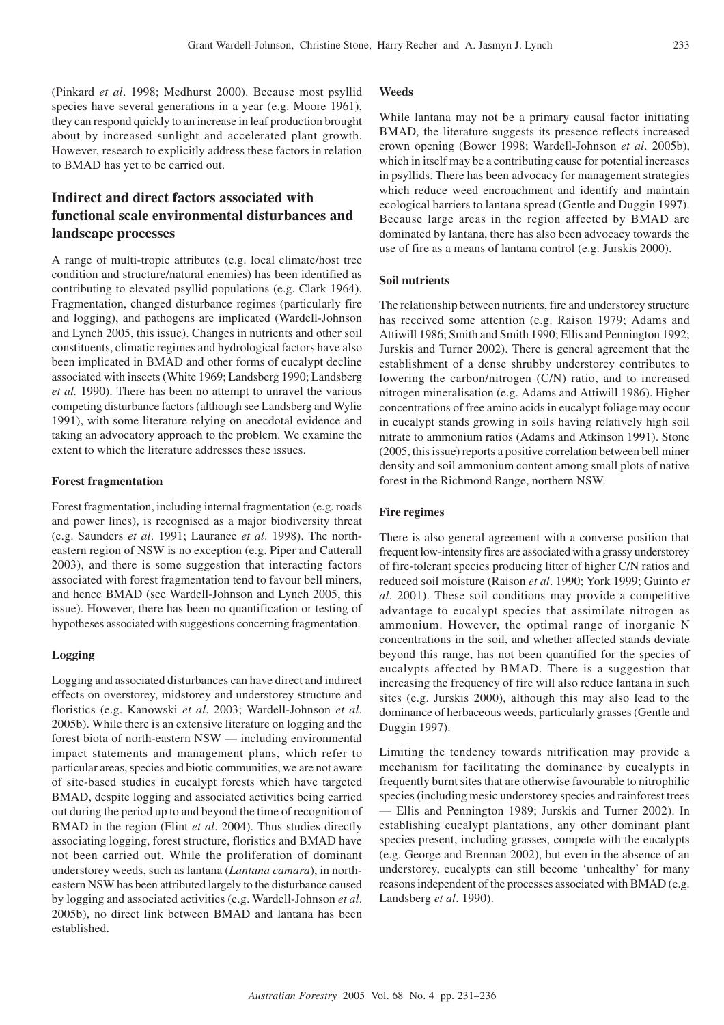(Pinkard *et al*. 1998; Medhurst 2000). Because most psyllid species have several generations in a year (e.g. Moore 1961), they can respond quickly to an increase in leaf production brought about by increased sunlight and accelerated plant growth. However, research to explicitly address these factors in relation to BMAD has yet to be carried out.

# **Indirect and direct factors associated with functional scale environmental disturbances and landscape processes**

A range of multi-tropic attributes (e.g. local climate/host tree condition and structure/natural enemies) has been identified as contributing to elevated psyllid populations (e.g. Clark 1964). Fragmentation, changed disturbance regimes (particularly fire and logging), and pathogens are implicated (Wardell-Johnson and Lynch 2005, this issue). Changes in nutrients and other soil constituents, climatic regimes and hydrological factors have also been implicated in BMAD and other forms of eucalypt decline associated with insects (White 1969; Landsberg 1990; Landsberg *et al.* 1990). There has been no attempt to unravel the various competing disturbance factors (although see Landsberg and Wylie 1991), with some literature relying on anecdotal evidence and taking an advocatory approach to the problem. We examine the extent to which the literature addresses these issues.

## **Forest fragmentation**

Forest fragmentation, including internal fragmentation (e.g. roads and power lines), is recognised as a major biodiversity threat (e.g. Saunders *et al*. 1991; Laurance *et al*. 1998). The northeastern region of NSW is no exception (e.g. Piper and Catterall 2003), and there is some suggestion that interacting factors associated with forest fragmentation tend to favour bell miners, and hence BMAD (see Wardell-Johnson and Lynch 2005, this issue). However, there has been no quantification or testing of hypotheses associated with suggestions concerning fragmentation.

#### **Logging**

Logging and associated disturbances can have direct and indirect effects on overstorey, midstorey and understorey structure and floristics (e.g. Kanowski *et al*. 2003; Wardell-Johnson *et al*. 2005b). While there is an extensive literature on logging and the forest biota of north-eastern NSW — including environmental impact statements and management plans, which refer to particular areas, species and biotic communities, we are not aware of site-based studies in eucalypt forests which have targeted BMAD, despite logging and associated activities being carried out during the period up to and beyond the time of recognition of BMAD in the region (Flint *et al*. 2004). Thus studies directly associating logging, forest structure, floristics and BMAD have not been carried out. While the proliferation of dominant understorey weeds, such as lantana (*Lantana camara*), in northeastern NSW has been attributed largely to the disturbance caused by logging and associated activities (e.g. Wardell-Johnson *et al*. 2005b), no direct link between BMAD and lantana has been established.

### **Weeds**

While lantana may not be a primary causal factor initiating BMAD, the literature suggests its presence reflects increased crown opening (Bower 1998; Wardell-Johnson *et al*. 2005b), which in itself may be a contributing cause for potential increases in psyllids. There has been advocacy for management strategies which reduce weed encroachment and identify and maintain ecological barriers to lantana spread (Gentle and Duggin 1997). Because large areas in the region affected by BMAD are dominated by lantana, there has also been advocacy towards the use of fire as a means of lantana control (e.g. Jurskis 2000).

#### **Soil nutrients**

The relationship between nutrients, fire and understorey structure has received some attention (e.g. Raison 1979; Adams and Attiwill 1986; Smith and Smith 1990; Ellis and Pennington 1992; Jurskis and Turner 2002). There is general agreement that the establishment of a dense shrubby understorey contributes to lowering the carbon/nitrogen (C/N) ratio, and to increased nitrogen mineralisation (e.g. Adams and Attiwill 1986). Higher concentrations of free amino acids in eucalypt foliage may occur in eucalypt stands growing in soils having relatively high soil nitrate to ammonium ratios (Adams and Atkinson 1991). Stone (2005, this issue) reports a positive correlation between bell miner density and soil ammonium content among small plots of native forest in the Richmond Range, northern NSW.

#### **Fire regimes**

There is also general agreement with a converse position that frequent low-intensity fires are associated with a grassy understorey of fire-tolerant species producing litter of higher C/N ratios and reduced soil moisture (Raison *et al*. 1990; York 1999; Guinto *et al*. 2001). These soil conditions may provide a competitive advantage to eucalypt species that assimilate nitrogen as ammonium. However, the optimal range of inorganic N concentrations in the soil, and whether affected stands deviate beyond this range, has not been quantified for the species of eucalypts affected by BMAD. There is a suggestion that increasing the frequency of fire will also reduce lantana in such sites (e.g. Jurskis 2000), although this may also lead to the dominance of herbaceous weeds, particularly grasses (Gentle and Duggin 1997).

Limiting the tendency towards nitrification may provide a mechanism for facilitating the dominance by eucalypts in frequently burnt sites that are otherwise favourable to nitrophilic species (including mesic understorey species and rainforest trees — Ellis and Pennington 1989; Jurskis and Turner 2002). In establishing eucalypt plantations, any other dominant plant species present, including grasses, compete with the eucalypts (e.g. George and Brennan 2002), but even in the absence of an understorey, eucalypts can still become 'unhealthy' for many reasons independent of the processes associated with BMAD (e.g. Landsberg *et al*. 1990).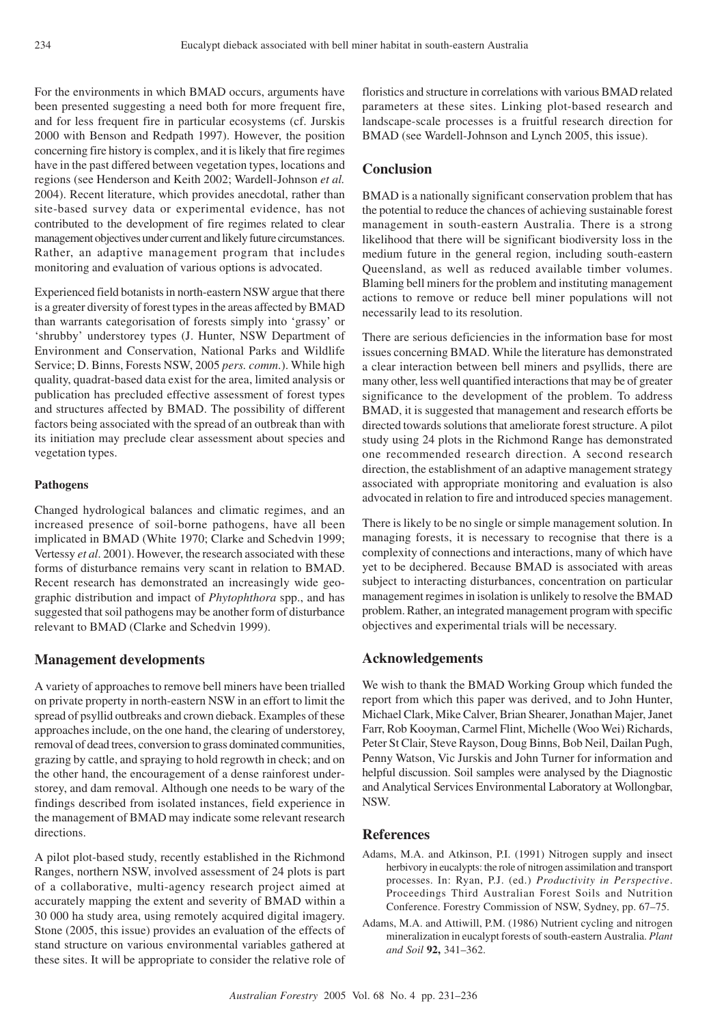For the environments in which BMAD occurs, arguments have been presented suggesting a need both for more frequent fire, and for less frequent fire in particular ecosystems (cf. Jurskis 2000 with Benson and Redpath 1997). However, the position concerning fire history is complex, and it is likely that fire regimes have in the past differed between vegetation types, locations and regions (see Henderson and Keith 2002; Wardell-Johnson *et al.* 2004). Recent literature, which provides anecdotal, rather than site-based survey data or experimental evidence, has not contributed to the development of fire regimes related to clear management objectives under current and likely future circumstances. Rather, an adaptive management program that includes monitoring and evaluation of various options is advocated.

Experienced field botanists in north-eastern NSW argue that there is a greater diversity of forest types in the areas affected by BMAD than warrants categorisation of forests simply into 'grassy' or 'shrubby' understorey types (J. Hunter, NSW Department of Environment and Conservation, National Parks and Wildlife Service; D. Binns, Forests NSW, 2005 *pers. comm*.). While high quality, quadrat-based data exist for the area, limited analysis or publication has precluded effective assessment of forest types and structures affected by BMAD. The possibility of different factors being associated with the spread of an outbreak than with its initiation may preclude clear assessment about species and vegetation types.

## **Pathogens**

Changed hydrological balances and climatic regimes, and an increased presence of soil-borne pathogens, have all been implicated in BMAD (White 1970; Clarke and Schedvin 1999; Vertessy *et al*. 2001). However, the research associated with these forms of disturbance remains very scant in relation to BMAD. Recent research has demonstrated an increasingly wide geographic distribution and impact of *Phytophthora* spp., and has suggested that soil pathogens may be another form of disturbance relevant to BMAD (Clarke and Schedvin 1999).

## **Management developments**

A variety of approaches to remove bell miners have been trialled on private property in north-eastern NSW in an effort to limit the spread of psyllid outbreaks and crown dieback. Examples of these approaches include, on the one hand, the clearing of understorey, removal of dead trees, conversion to grass dominated communities, grazing by cattle, and spraying to hold regrowth in check; and on the other hand, the encouragement of a dense rainforest understorey, and dam removal. Although one needs to be wary of the findings described from isolated instances, field experience in the management of BMAD may indicate some relevant research directions.

A pilot plot-based study, recently established in the Richmond Ranges, northern NSW, involved assessment of 24 plots is part of a collaborative, multi-agency research project aimed at accurately mapping the extent and severity of BMAD within a 30 000 ha study area, using remotely acquired digital imagery. Stone (2005, this issue) provides an evaluation of the effects of stand structure on various environmental variables gathered at these sites. It will be appropriate to consider the relative role of floristics and structure in correlations with various BMAD related parameters at these sites. Linking plot-based research and landscape-scale processes is a fruitful research direction for BMAD (see Wardell-Johnson and Lynch 2005, this issue).

# **Conclusion**

BMAD is a nationally significant conservation problem that has the potential to reduce the chances of achieving sustainable forest management in south-eastern Australia. There is a strong likelihood that there will be significant biodiversity loss in the medium future in the general region, including south-eastern Queensland, as well as reduced available timber volumes. Blaming bell miners for the problem and instituting management actions to remove or reduce bell miner populations will not necessarily lead to its resolution.

There are serious deficiencies in the information base for most issues concerning BMAD. While the literature has demonstrated a clear interaction between bell miners and psyllids, there are many other, less well quantified interactions that may be of greater significance to the development of the problem. To address BMAD, it is suggested that management and research efforts be directed towards solutions that ameliorate forest structure. A pilot study using 24 plots in the Richmond Range has demonstrated one recommended research direction. A second research direction, the establishment of an adaptive management strategy associated with appropriate monitoring and evaluation is also advocated in relation to fire and introduced species management.

There is likely to be no single or simple management solution. In managing forests, it is necessary to recognise that there is a complexity of connections and interactions, many of which have yet to be deciphered. Because BMAD is associated with areas subject to interacting disturbances, concentration on particular management regimes in isolation is unlikely to resolve the BMAD problem. Rather, an integrated management program with specific objectives and experimental trials will be necessary.

## **Acknowledgements**

We wish to thank the BMAD Working Group which funded the report from which this paper was derived, and to John Hunter, Michael Clark, Mike Calver, Brian Shearer, Jonathan Majer, Janet Farr, Rob Kooyman, Carmel Flint, Michelle (Woo Wei) Richards, Peter St Clair, Steve Rayson, Doug Binns, Bob Neil, Dailan Pugh, Penny Watson, Vic Jurskis and John Turner for information and helpful discussion. Soil samples were analysed by the Diagnostic and Analytical Services Environmental Laboratory at Wollongbar, NSW.

## **References**

- Adams, M.A. and Atkinson, P.I. (1991) Nitrogen supply and insect herbivory in eucalypts: the role of nitrogen assimilation and transport processes. In: Ryan, P.J. (ed.) *Productivity in Perspective*. Proceedings Third Australian Forest Soils and Nutrition Conference. Forestry Commission of NSW, Sydney, pp. 67–75.
- Adams, M.A. and Attiwill, P.M. (1986) Nutrient cycling and nitrogen mineralization in eucalypt forests of south-eastern Australia. *Plant and Soil* **92,** 341–362.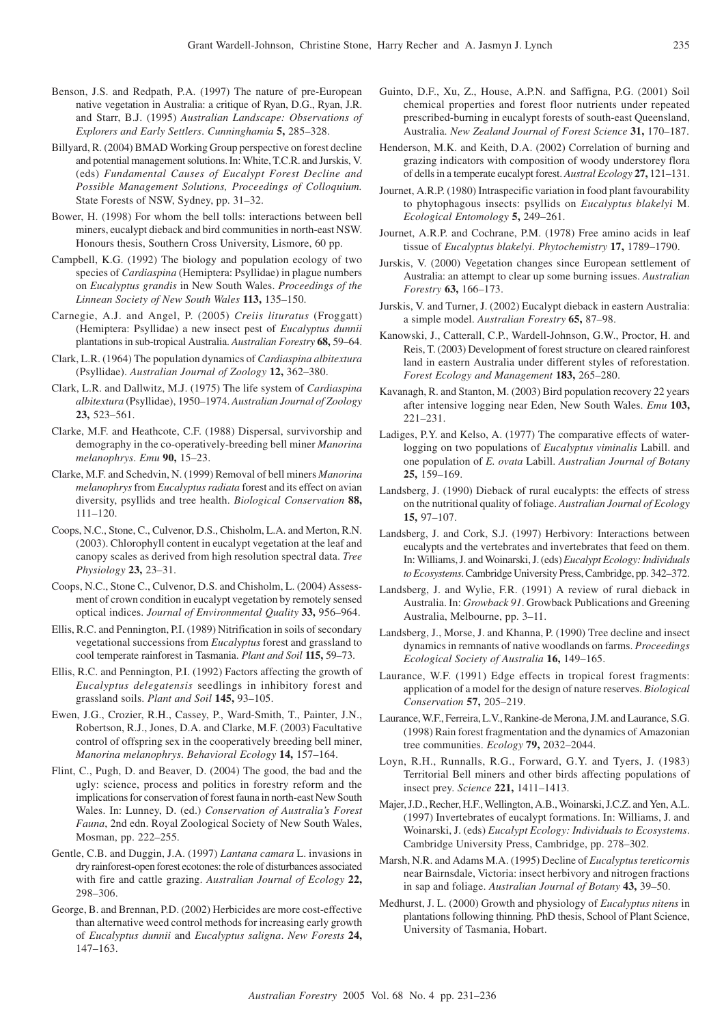- Benson, J.S. and Redpath, P.A. (1997) The nature of pre-European native vegetation in Australia: a critique of Ryan, D.G., Ryan, J.R. and Starr, B.J. (1995) *Australian Landscape: Observations of Explorers and Early Settlers*. *Cunninghamia* **5,** 285–328.
- Billyard, R. (2004) BMAD Working Group perspective on forest decline and potential management solutions. In: White, T.C.R. and Jurskis, V. (eds) *Fundamental Causes of Eucalypt Forest Decline and Possible Management Solutions, Proceedings of Colloquium.* State Forests of NSW, Sydney, pp. 31–32.
- Bower, H. (1998) For whom the bell tolls: interactions between bell miners, eucalypt dieback and bird communities in north-east NSW. Honours thesis, Southern Cross University, Lismore, 60 pp.
- Campbell, K.G. (1992) The biology and population ecology of two species of *Cardiaspina* (Hemiptera: Psyllidae) in plague numbers on *Eucalyptus grandis* in New South Wales. *Proceedings of the Linnean Society of New South Wales* **113,** 135–150.
- Carnegie, A.J. and Angel, P. (2005) *Creiis lituratus* (Froggatt) (Hemiptera: Psyllidae) a new insect pest of *Eucalyptus dunnii* plantations in sub-tropical Australia. *Australian Forestry* **68,** 59–64.
- Clark, L.R. (1964) The population dynamics of *Cardiaspina albitextura* (Psyllidae). *Australian Journal of Zoology* **12,** 362–380.
- Clark, L.R. and Dallwitz, M.J. (1975) The life system of *Cardiaspina albitextura* (Psyllidae), 1950–1974. *Australian Journal of Zoology* **23,** 523–561.
- Clarke, M.F. and Heathcote, C.F. (1988) Dispersal, survivorship and demography in the co-operatively-breeding bell miner *Manorina melanophrys*. *Emu* **90,** 15–23.
- Clarke, M.F. and Schedvin, N. (1999) Removal of bell miners *Manorina melanophrys* from *Eucalyptus radiata* forest and its effect on avian diversity, psyllids and tree health. *Biological Conservation* **88,** 111–120.
- Coops, N.C., Stone, C., Culvenor, D.S., Chisholm, L.A. and Merton, R.N. (2003). Chlorophyll content in eucalypt vegetation at the leaf and canopy scales as derived from high resolution spectral data. *Tree Physiology* **23,** 23–31.
- Coops, N.C., Stone C., Culvenor, D.S. and Chisholm, L. (2004) Assessment of crown condition in eucalypt vegetation by remotely sensed optical indices. *Journal of Environmental Quality* **33,** 956–964.
- Ellis, R.C. and Pennington, P.I. (1989) Nitrification in soils of secondary vegetational successions from *Eucalyptus* forest and grassland to cool temperate rainforest in Tasmania. *Plant and Soil* **115,** 59–73.
- Ellis, R.C. and Pennington, P.I. (1992) Factors affecting the growth of *Eucalyptus delegatensis* seedlings in inhibitory forest and grassland soils. *Plant and Soil* **145,** 93–105.
- Ewen, J.G., Crozier, R.H., Cassey, P., Ward-Smith, T., Painter, J.N., Robertson, R.J., Jones, D.A. and Clarke, M.F. (2003) Facultative control of offspring sex in the cooperatively breeding bell miner, *Manorina melanophrys*. *Behavioral Ecology* **14,** 157–164.
- Flint, C., Pugh, D. and Beaver, D. (2004) The good, the bad and the ugly: science, process and politics in forestry reform and the implications for conservation of forest fauna in north-east New South Wales. In: Lunney, D. (ed.) *Conservation of Australia's Forest Fauna*, 2nd edn. Royal Zoological Society of New South Wales, Mosman, pp. 222–255.
- Gentle, C.B. and Duggin, J.A. (1997) *Lantana camara* L. invasions in dry rainforest-open forest ecotones: the role of disturbances associated with fire and cattle grazing. *Australian Journal of Ecology* **22,** 298–306.
- George, B. and Brennan, P.D. (2002) Herbicides are more cost-effective than alternative weed control methods for increasing early growth of *Eucalyptus dunnii* and *Eucalyptus saligna*. *New Forests* **24,** 147–163.
- Guinto, D.F., Xu, Z., House, A.P.N. and Saffigna, P.G. (2001) Soil chemical properties and forest floor nutrients under repeated prescribed-burning in eucalypt forests of south-east Queensland, Australia. *New Zealand Journal of Forest Science* **31,** 170–187.
- Henderson, M.K. and Keith, D.A. (2002) Correlation of burning and grazing indicators with composition of woody understorey flora of dells in a temperate eucalypt forest. *Austral Ecology* **27,** 121–131.
- Journet, A.R.P. (1980) Intraspecific variation in food plant favourability to phytophagous insects: psyllids on *Eucalyptus blakelyi* M. *Ecological Entomology* **5,** 249–261.
- Journet, A.R.P. and Cochrane, P.M. (1978) Free amino acids in leaf tissue of *Eucalyptus blakelyi*. *Phytochemistry* **17,** 1789–1790.
- Jurskis, V. (2000) Vegetation changes since European settlement of Australia: an attempt to clear up some burning issues. *Australian Forestry* **63,** 166–173.
- Jurskis, V. and Turner, J. (2002) Eucalypt dieback in eastern Australia: a simple model. *Australian Forestry* **65,** 87–98.
- Kanowski, J., Catterall, C.P., Wardell-Johnson, G.W., Proctor, H. and Reis, T. (2003) Development of forest structure on cleared rainforest land in eastern Australia under different styles of reforestation. *Forest Ecology and Management* **183,** 265–280.
- Kavanagh, R. and Stanton, M. (2003) Bird population recovery 22 years after intensive logging near Eden, New South Wales. *Emu* **103,** 221–231.
- Ladiges, P.Y. and Kelso, A. (1977) The comparative effects of waterlogging on two populations of *Eucalyptus viminalis* Labill. and one population of *E. ovata* Labill. *Australian Journal of Botany* **25,** 159–169.
- Landsberg, J. (1990) Dieback of rural eucalypts: the effects of stress on the nutritional quality of foliage. *Australian Journal of Ecology* **15,** 97–107.
- Landsberg, J. and Cork, S.J. (1997) Herbivory: Interactions between eucalypts and the vertebrates and invertebrates that feed on them. In: Williams, J. and Woinarski, J. (eds) *Eucalypt Ecology:Individuals to Ecosystems*. Cambridge University Press, Cambridge, pp. 342–372.
- Landsberg, J. and Wylie, F.R. (1991) A review of rural dieback in Australia. In: *Growback 91*. Growback Publications and Greening Australia, Melbourne, pp. 3–11.
- Landsberg, J., Morse, J. and Khanna, P. (1990) Tree decline and insect dynamics in remnants of native woodlands on farms. *Proceedings Ecological Society of Australia* **16,** 149–165.
- Laurance, W.F. (1991) Edge effects in tropical forest fragments: application of a model for the design of nature reserves. *Biological Conservation* **57,** 205–219.
- Laurance, W.F., Ferreira, L.V., Rankine-de Merona, J.M. and Laurance, S.G. (1998) Rain forest fragmentation and the dynamics of Amazonian tree communities. *Ecology* **79,** 2032–2044.
- Loyn, R.H., Runnalls, R.G., Forward, G.Y. and Tyers, J. (1983) Territorial Bell miners and other birds affecting populations of insect prey. *Science* **221,** 1411–1413.
- Majer, J.D., Recher, H.F., Wellington, A.B., Woinarski, J.C.Z. and Yen, A.L. (1997) Invertebrates of eucalypt formations. In: Williams, J. and Woinarski, J. (eds) *Eucalypt Ecology: Individuals to Ecosystems*. Cambridge University Press, Cambridge, pp. 278–302.
- Marsh, N.R. and Adams M.A. (1995) Decline of *Eucalyptus tereticornis* near Bairnsdale, Victoria: insect herbivory and nitrogen fractions in sap and foliage. *Australian Journal of Botany* **43,** 39–50.
- Medhurst, J. L. (2000) Growth and physiology of *Eucalyptus nitens* in plantations following thinning*.* PhD thesis, School of Plant Science, University of Tasmania, Hobart.